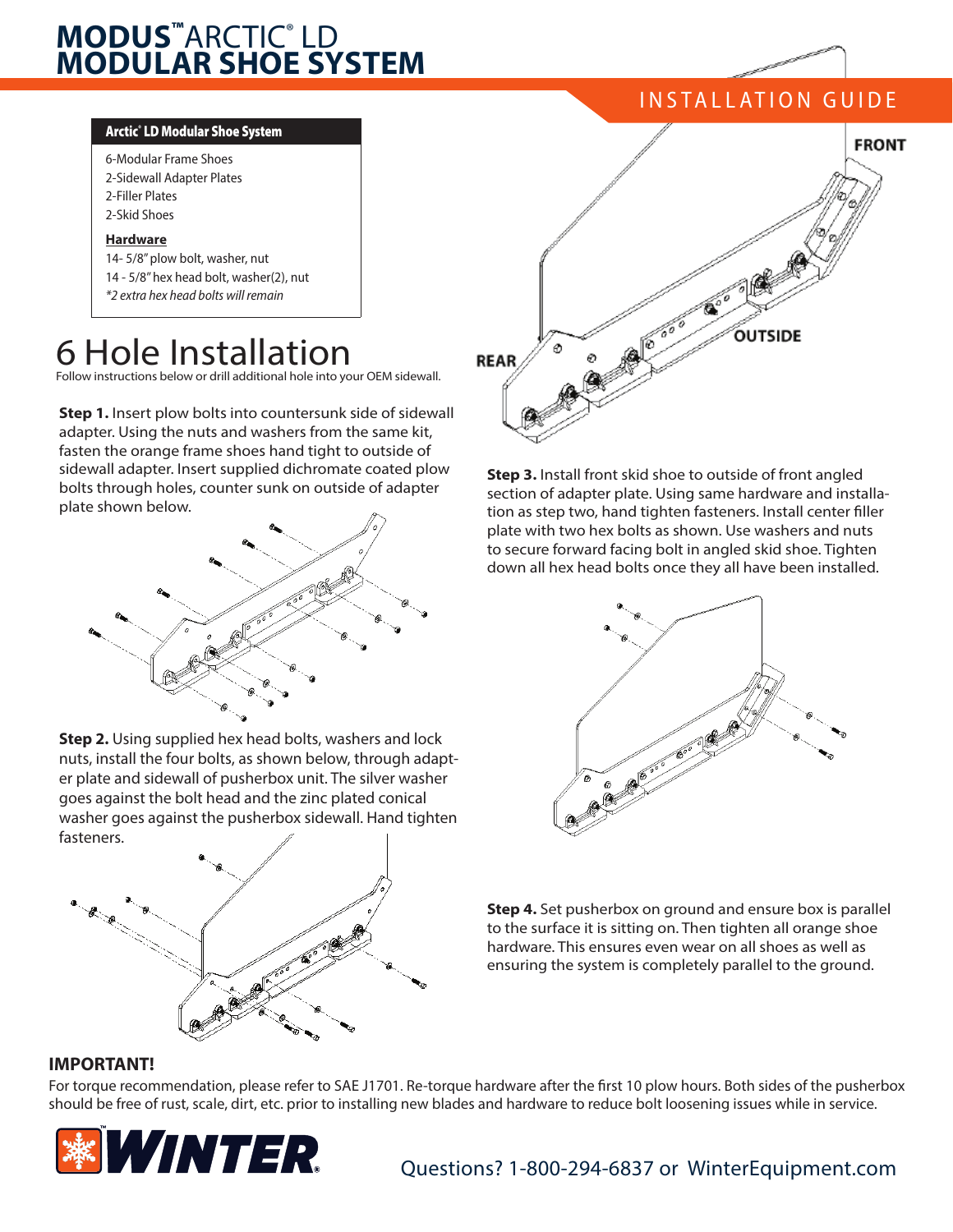## **MODUS™**ARCTIC® LD **MODULAR SHOE SYSTEM**

#### Arctic® LD Modular Shoe System

6-Modular Frame Shoes 2-Sidewall Adapter Plates 2-Filler Plates 2-Skid Shoes

### **Hardware**

14- 5/8" plow bolt, washer, nut 14 - 5/8" hex head bolt, washer(2), nut *\*2 extra hex head bolts will remain*

## 6 Hole Installation

Follow instructions below or drill additional hole into your OEM sidewall.

**Step 1.** Insert plow bolts into countersunk side of sidewall adapter. Using the nuts and washers from the same kit, fasten the orange frame shoes hand tight to outside of sidewall adapter. Insert supplied dichromate coated plow bolts through holes, counter sunk on outside of adapter plate shown below.



**Step 2.** Using supplied hex head bolts, washers and lock nuts, install the four bolts, as shown below, through adapter plate and sidewall of pusherbox unit. The silver washer goes against the bolt head and the zinc plated conical washer goes against the pusherbox sidewall. Hand tighten fasteners.



# INSTALLATION GUIDE **FRONT** OUTSIDE **REAR**

**Step 3.** Install front skid shoe to outside of front angled section of adapter plate. Using same hardware and installation as step two, hand tighten fasteners. Install center filler plate with two hex bolts as shown. Use washers and nuts to secure forward facing bolt in angled skid shoe. Tighten down all hex head bolts once they all have been installed.



**Step 4.** Set pusherbox on ground and ensure box is parallel to the surface it is sitting on. Then tighten all orange shoe hardware. This ensures even wear on all shoes as well as ensuring the system is completely parallel to the ground.

## **IMPORTANT!**

For torque recommendation, please refer to SAE J1701. Re-torque hardware after the first 10 plow hours. Both sides of the pusherbox should be free of rust, scale, dirt, etc. prior to installing new blades and hardware to reduce bolt loosening issues while in service.